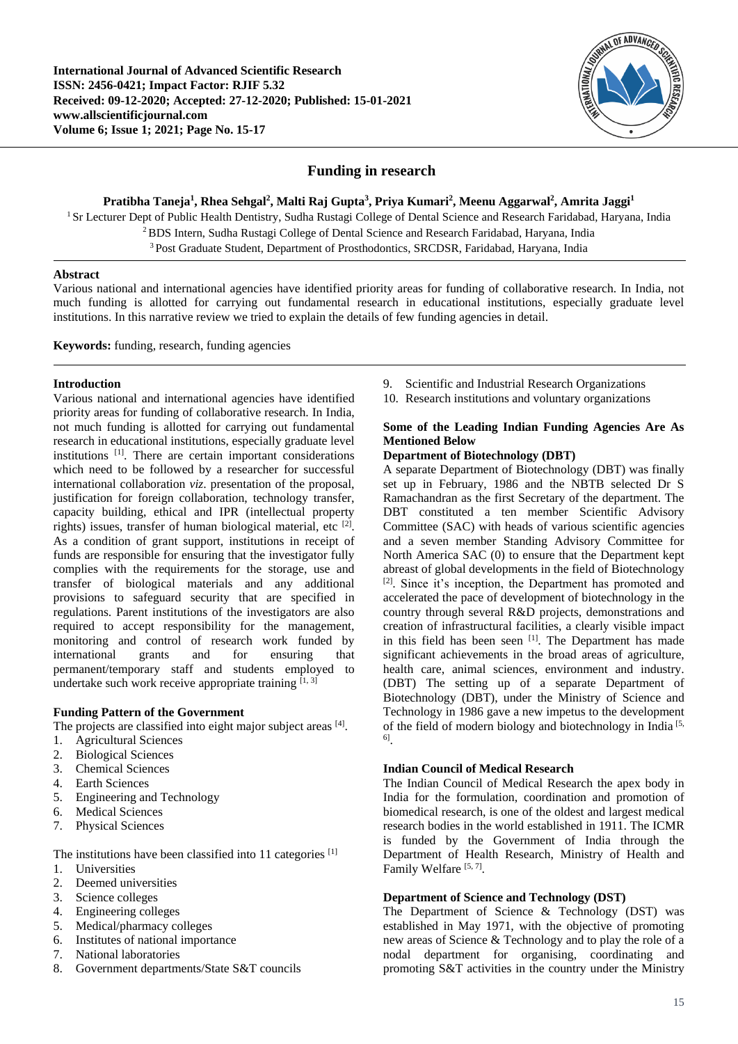

# **Funding in research**

**Pratibha Taneja<sup>1</sup> , Rhea Sehgal<sup>2</sup> , Malti Raj Gupta<sup>3</sup> , Priya Kumari<sup>2</sup> , Meenu Aggarwal<sup>2</sup> , Amrita Jaggi<sup>1</sup>**

<sup>1</sup> Sr Lecturer Dept of Public Health Dentistry, Sudha Rustagi College of Dental Science and Research Faridabad, Haryana, India <sup>2</sup>BDS Intern, Sudha Rustagi College of Dental Science and Research Faridabad, Haryana, India <sup>3</sup> Post Graduate Student, Department of Prosthodontics, SRCDSR, Faridabad, Haryana, India

## **Abstract**

Various national and international agencies have identified priority areas for funding of collaborative research. In India, not much funding is allotted for carrying out fundamental research in educational institutions, especially graduate level institutions. In this narrative review we tried to explain the details of few funding agencies in detail.

**Keywords:** funding, research, funding agencies

## **Introduction**

Various national and international agencies have identified priority areas for funding of collaborative research. In India, not much funding is allotted for carrying out fundamental research in educational institutions, especially graduate level institutions [1] . There are certain important considerations which need to be followed by a researcher for successful international collaboration *viz*. presentation of the proposal, justification for foreign collaboration, technology transfer, capacity building, ethical and IPR (intellectual property rights) issues, transfer of human biological material, etc <sup>[2]</sup>. As a condition of grant support, institutions in receipt of funds are responsible for ensuring that the investigator fully complies with the requirements for the storage, use and transfer of biological materials and any additional provisions to safeguard security that are specified in regulations. Parent institutions of the investigators are also required to accept responsibility for the management, monitoring and control of research work funded by international grants and for ensuring that permanent/temporary staff and students employed to undertake such work receive appropriate training  $[1, 3]$ 

# **Funding Pattern of the Government**

The projects are classified into eight major subject areas [4].

- 1. Agricultural Sciences
- 2. Biological Sciences
- 3. Chemical Sciences
- 4. Earth Sciences
- 5. Engineering and Technology
- 6. Medical Sciences
- 7. Physical Sciences

The institutions have been classified into 11 categories [1]

- 1. Universities
- 2. Deemed universities
- 3. Science colleges
- 4. Engineering colleges
- 5. Medical/pharmacy colleges
- 6. Institutes of national importance
- 7. National laboratories
- 8. Government departments/State S&T councils
- 9. Scientific and Industrial Research Organizations
- 10. Research institutions and voluntary organizations

## **Some of the Leading Indian Funding Agencies Are As Mentioned Below**

# **Department of Biotechnology (DBT)**

A separate Department of Biotechnology (DBT) was finally set up in February, 1986 and the NBTB selected Dr S Ramachandran as the first Secretary of the department. The DBT constituted a ten member Scientific Advisory Committee (SAC) with heads of various scientific agencies and a seven member Standing Advisory Committee for North America SAC (0) to ensure that the Department kept abreast of global developments in the field of Biotechnology [2] . Since it's inception, the Department has promoted and accelerated the pace of development of biotechnology in the country through several R&D projects, demonstrations and creation of infrastructural facilities, a clearly visible impact in this field has been seen [1]. The Department has made significant achievements in the broad areas of agriculture, health care, animal sciences, environment and industry. (DBT) The setting up of a separate Department of Biotechnology (DBT), under the Ministry of Science and Technology in 1986 gave a new impetus to the development of the field of modern biology and biotechnology in India [5, 6] .

## **Indian Council of Medical Research**

The Indian Council of Medical Research the apex body in India for the formulation, coordination and promotion of biomedical research, is one of the oldest and largest medical research bodies in the world established in 1911. The ICMR is funded by the Government of India through the Department of Health Research, Ministry of Health and Family Welfare<sup>[5,7]</sup>.

# **Department of Science and Technology (DST)**

The Department of Science & Technology (DST) was established in May 1971, with the objective of promoting new areas of Science & Technology and to play the role of a nodal department for organising, coordinating and promoting S&T activities in the country under the Ministry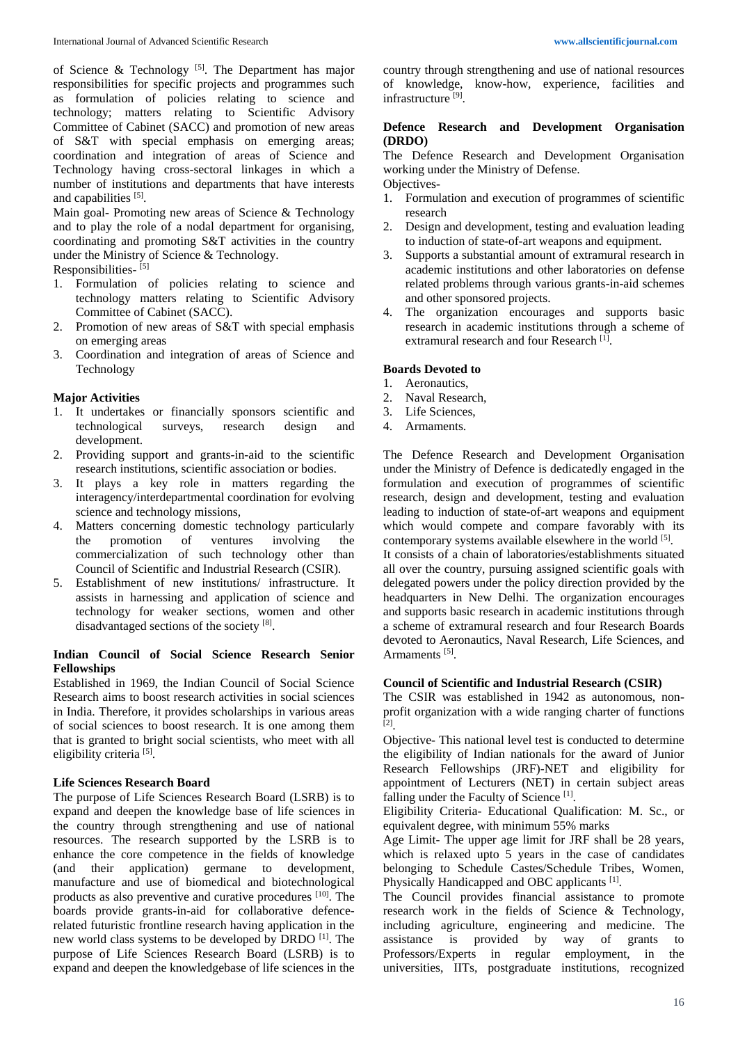of Science & Technology<sup>[5]</sup>. The Department has major responsibilities for specific projects and programmes such as formulation of policies relating to science and technology; matters relating to Scientific Advisory Committee of Cabinet (SACC) and promotion of new areas of S&T with special emphasis on emerging areas; coordination and integration of areas of Science and Technology having cross-sectoral linkages in which a number of institutions and departments that have interests and capabilities [5].

Main goal- Promoting new areas of Science & Technology and to play the role of a nodal department for organising, coordinating and promoting S&T activities in the country under the Ministry of Science & Technology.

Responsibilities- [5]

- 1. Formulation of policies relating to science and technology matters relating to Scientific Advisory Committee of Cabinet (SACC).
- 2. Promotion of new areas of S&T with special emphasis on emerging areas
- 3. Coordination and integration of areas of Science and Technology

## **Major Activities**

- 1. It undertakes or financially sponsors scientific and technological surveys, research design and development.
- 2. Providing support and grants-in-aid to the scientific research institutions, scientific association or bodies.
- 3. It plays a key role in matters regarding the interagency/interdepartmental coordination for evolving science and technology missions,
- 4. Matters concerning domestic technology particularly the promotion of ventures involving the commercialization of such technology other than Council of Scientific and Industrial Research (CSIR).
- 5. Establishment of new institutions/ infrastructure. It assists in harnessing and application of science and technology for weaker sections, women and other disadvantaged sections of the society [8].

#### **Indian Council of Social Science Research Senior Fellowships**

Established in 1969, the Indian Council of Social Science Research aims to boost research activities in social sciences in India. Therefore, it provides scholarships in various areas of social sciences to boost research. It is one among them that is granted to bright social scientists, who meet with all eligibility criteria<sup>[5]</sup>.

## **Life Sciences Research Board**

The purpose of Life Sciences Research Board (LSRB) is to expand and deepen the knowledge base of life sciences in the country through strengthening and use of national resources. The research supported by the LSRB is to enhance the core competence in the fields of knowledge (and their application) germane to development, manufacture and use of biomedical and biotechnological products as also preventive and curative procedures [10] . The boards provide grants-in-aid for collaborative defencerelated futuristic frontline research having application in the new world class systems to be developed by DRDO [1] . The purpose of Life Sciences Research Board (LSRB) is to expand and deepen the knowledgebase of life sciences in the country through strengthening and use of national resources of knowledge, know-how, experience, facilities and infrastructure<sup>[9]</sup>.

### **Defence Research and Development Organisation (DRDO)**

The Defence Research and Development Organisation working under the Ministry of Defense.

Objectives-

- 1. Formulation and execution of programmes of scientific research
- 2. Design and development, testing and evaluation leading to induction of state-of-art weapons and equipment.
- 3. Supports a substantial amount of extramural research in academic institutions and other laboratories on defense related problems through various grants-in-aid schemes and other sponsored projects.
- 4. The organization encourages and supports basic research in academic institutions through a scheme of extramural research and four Research [1].

#### **Boards Devoted to**

- 1. Aeronautics,
- 2. Naval Research,
- 3. Life Sciences,
- 4. Armaments.

The Defence Research and Development Organisation under the Ministry of Defence is dedicatedly engaged in the formulation and execution of programmes of scientific research, design and development, testing and evaluation leading to induction of state-of-art weapons and equipment which would compete and compare favorably with its contemporary systems available elsewhere in the world [5]. It consists of a chain of laboratories/establishments situated all over the country, pursuing assigned scientific goals with delegated powers under the policy direction provided by the headquarters in New Delhi. The organization encourages and supports basic research in academic institutions through a scheme of extramural research and four Research Boards devoted to Aeronautics, Naval Research, Life Sciences, and Armaments<sup>[5]</sup>.

## **Council of Scientific and Industrial Research (CSIR)**

The CSIR was established in 1942 as autonomous, nonprofit organization with a wide ranging charter of functions [2] .

Objective- This national level test is conducted to determine the eligibility of Indian nationals for the award of Junior Research Fellowships (JRF)-NET and eligibility for appointment of Lecturers (NET) in certain subject areas falling under the Faculty of Science<sup>[1]</sup>.

Eligibility Criteria- Educational Qualification: M. Sc., or equivalent degree, with minimum 55% marks

Age Limit- The upper age limit for JRF shall be 28 years, which is relaxed upto  $\overline{5}$  years in the case of candidates belonging to Schedule Castes/Schedule Tribes, Women, Physically Handicapped and OBC applicants [1].

The Council provides financial assistance to promote research work in the fields of Science & Technology, including agriculture, engineering and medicine. The assistance is provided by way of grants to Professors/Experts in regular employment, in the universities, IITs, postgraduate institutions, recognized